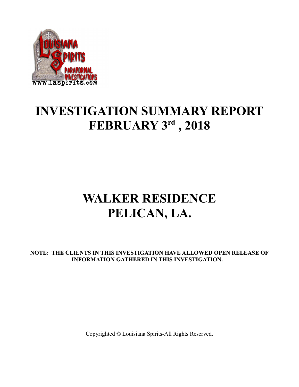

### **INVESTIGATION SUMMARY REPORT FEBRUARY 3rd , 2018**

# **WALKER RESIDENCE PELICAN, LA.**

**NOTE: THE CLIENTS IN THIS INVESTIGATION HAVE ALLOWED OPEN RELEASE OF INFORMATION GATHERED IN THIS INVESTIGATION.**

Copyrighted © Louisiana Spirits-All Rights Reserved.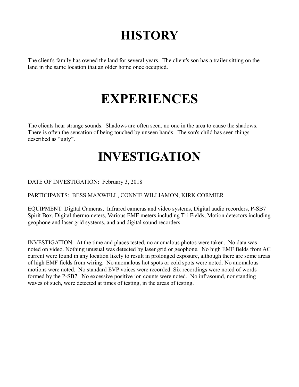# **HISTORY**

The client's family has owned the land for several years. The client's son has a trailer sitting on the land in the same location that an older home once occupied.

## **EXPERIENCES**

The clients hear strange sounds. Shadows are often seen, no one in the area to cause the shadows. There is often the sensation of being touched by unseen hands. The son's child has seen things described as "ugly".

#### **INVESTIGATION**

DATE OF INVESTIGATION: February 3, 2018

PARTICIPANTS: BESS MAXWELL, CONNIE WILLIAMON, KIRK CORMIER

EQUIPMENT: Digital Cameras, Infrared cameras and video systems, Digital audio recorders, P-SB7 Spirit Box, Digital thermometers, Various EMF meters including Tri-Fields, Motion detectors including geophone and laser grid systems, and and digital sound recorders.

INVESTIGATION: At the time and places tested, no anomalous photos were taken. No data was noted on video. Nothing unusual was detected by laser grid or geophone. No high EMF fields from AC current were found in any location likely to result in prolonged exposure, although there are some areas of high EMF fields from wiring. No anomalous hot spots or cold spots were noted. No anomalous motions were noted. No standard EVP voices were recorded. Six recordings were noted of words formed by the P-SB7. No excessive positive ion counts were noted. No infrasound, nor standing waves of such, were detected at times of testing, in the areas of testing.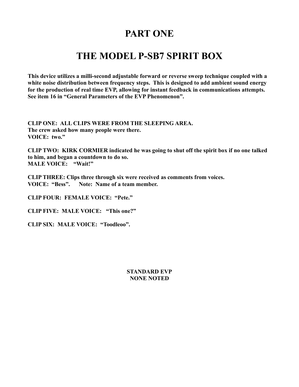#### **PART ONE**

#### **THE MODEL P-SB7 SPIRIT BOX**

**This device utilizes a milli-second adjustable forward or reverse sweep technique coupled with a white noise distribution between frequency steps. This is designed to add ambient sound energy for the production of real time EVP, allowing for instant feedback in communications attempts. See item 16 in "General Parameters of the EVP Phenomenon".** 

**CLIP ONE: ALL CLIPS WERE FROM THE SLEEPING AREA. The crew asked how many people were there. VOICE: two."**

**CLIP TWO: KIRK CORMIER indicated he was going to shut off the spirit box if no one talked to him, and began a countdown to do so. MALE VOICE: "Wait!"**

**CLIP THREE: Clips three through six were received as comments from voices. VOICE: "Bess". Note: Name of a team member.**

**CLIP FOUR: FEMALE VOICE: "Pete."**

**CLIP FIVE: MALE VOICE: "This one?"**

**CLIP SIX: MALE VOICE: "Toodleoo".**

#### **STANDARD EVP NONE NOTED**